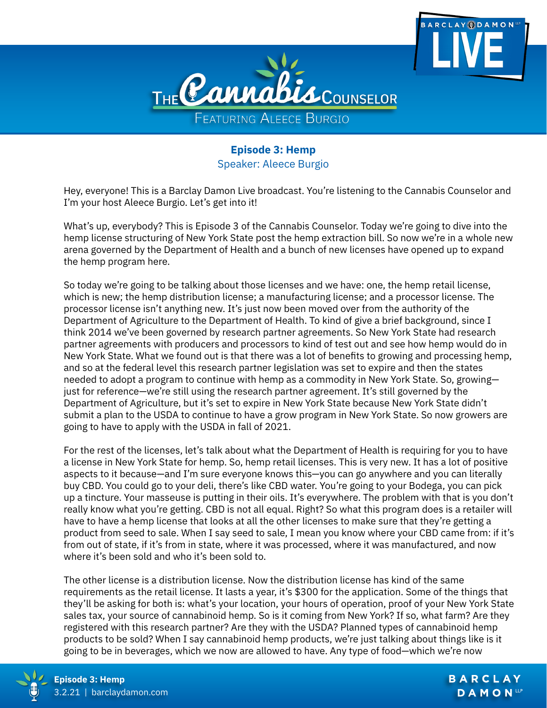

**Episode 3: Hemp** Speaker: Aleece Burgio

Hey, everyone! This is a Barclay Damon Live broadcast. You're listening to the Cannabis Counselor and I'm your host Aleece Burgio. Let's get into it!

What's up, everybody? This is Episode 3 of the Cannabis Counselor. Today we're going to dive into the hemp license structuring of New York State post the hemp extraction bill. So now we're in a whole new arena governed by the Department of Health and a bunch of new licenses have opened up to expand the hemp program here.

So today we're going to be talking about those licenses and we have: one, the hemp retail license, which is new; the hemp distribution license; a manufacturing license; and a processor license. The processor license isn't anything new. It's just now been moved over from the authority of the Department of Agriculture to the Department of Health. To kind of give a brief background, since I think 2014 we've been governed by research partner agreements. So New York State had research partner agreements with producers and processors to kind of test out and see how hemp would do in New York State. What we found out is that there was a lot of benefits to growing and processing hemp, and so at the federal level this research partner legislation was set to expire and then the states needed to adopt a program to continue with hemp as a commodity in New York State. So, growing just for reference—we're still using the research partner agreement. It's still governed by the Department of Agriculture, but it's set to expire in New York State because New York State didn't submit a plan to the USDA to continue to have a grow program in New York State. So now growers are going to have to apply with the USDA in fall of 2021.

For the rest of the licenses, let's talk about what the Department of Health is requiring for you to have a license in New York State for hemp. So, hemp retail licenses. This is very new. It has a lot of positive aspects to it because—and I'm sure everyone knows this—you can go anywhere and you can literally buy CBD. You could go to your deli, there's like CBD water. You're going to your Bodega, you can pick up a tincture. Your masseuse is putting in their oils. It's everywhere. The problem with that is you don't really know what you're getting. CBD is not all equal. Right? So what this program does is a retailer will have to have a hemp license that looks at all the other licenses to make sure that they're getting a product from seed to sale. When I say seed to sale, I mean you know where your CBD came from: if it's from out of state, if it's from in state, where it was processed, where it was manufactured, and now where it's been sold and who it's been sold to.

The other license is a distribution license. Now the distribution license has kind of the same requirements as the retail license. It lasts a year, it's \$300 for the application. Some of the things that they'll be asking for both is: what's your location, your hours of operation, proof of your New York State sales tax, your source of cannabinoid hemp. So is it coming from New York? If so, what farm? Are they registered with this research partner? Are they with the USDA? Planned types of cannabinoid hemp products to be sold? When I say cannabinoid hemp products, we're just talking about things like is it going to be in beverages, which we now are allowed to have. Any type of food—which we're now



**ARCLAY <b>ODAMON**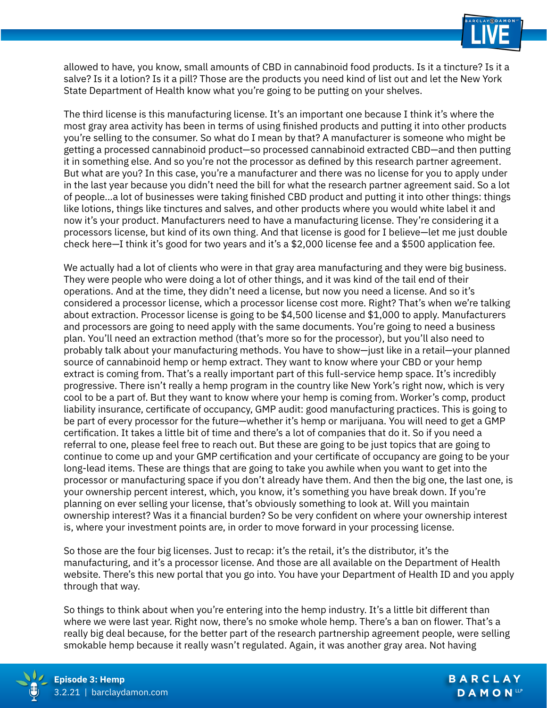

allowed to have, you know, small amounts of CBD in cannabinoid food products. Is it a tincture? Is it a salve? Is it a lotion? Is it a pill? Those are the products you need kind of list out and let the New York State Department of Health know what you're going to be putting on your shelves.

The third license is this manufacturing license. It's an important one because I think it's where the most gray area activity has been in terms of using finished products and putting it into other products you're selling to the consumer. So what do I mean by that? A manufacturer is someone who might be getting a processed cannabinoid product—so processed cannabinoid extracted CBD—and then putting it in something else. And so you're not the processor as defined by this research partner agreement. But what are you? In this case, you're a manufacturer and there was no license for you to apply under in the last year because you didn't need the bill for what the research partner agreement said. So a lot of people...a lot of businesses were taking finished CBD product and putting it into other things: things like lotions, things like tinctures and salves, and other products where you would white label it and now it's your product. Manufacturers need to have a manufacturing license. They're considering it a processors license, but kind of its own thing. And that license is good for I believe—let me just double check here—I think it's good for two years and it's a \$2,000 license fee and a \$500 application fee.

We actually had a lot of clients who were in that gray area manufacturing and they were big business. They were people who were doing a lot of other things, and it was kind of the tail end of their operations. And at the time, they didn't need a license, but now you need a license. And so it's considered a processor license, which a processor license cost more. Right? That's when we're talking about extraction. Processor license is going to be \$4,500 license and \$1,000 to apply. Manufacturers and processors are going to need apply with the same documents. You're going to need a business plan. You'll need an extraction method (that's more so for the processor), but you'll also need to probably talk about your manufacturing methods. You have to show—just like in a retail—your planned source of cannabinoid hemp or hemp extract. They want to know where your CBD or your hemp extract is coming from. That's a really important part of this full-service hemp space. It's incredibly progressive. There isn't really a hemp program in the country like New York's right now, which is very cool to be a part of. But they want to know where your hemp is coming from. Worker's comp, product liability insurance, certificate of occupancy, GMP audit: good manufacturing practices. This is going to be part of every processor for the future—whether it's hemp or marijuana. You will need to get a GMP certification. It takes a little bit of time and there's a lot of companies that do it. So if you need a referral to one, please feel free to reach out. But these are going to be just topics that are going to continue to come up and your GMP certification and your certificate of occupancy are going to be your long-lead items. These are things that are going to take you awhile when you want to get into the processor or manufacturing space if you don't already have them. And then the big one, the last one, is your ownership percent interest, which, you know, it's something you have break down. If you're planning on ever selling your license, that's obviously something to look at. Will you maintain ownership interest? Was it a financial burden? So be very confident on where your ownership interest is, where your investment points are, in order to move forward in your processing license.

So those are the four big licenses. Just to recap: it's the retail, it's the distributor, it's the manufacturing, and it's a processor license. And those are all available on the Department of Health website. There's this new portal that you go into. You have your Department of Health ID and you apply through that way.

So things to think about when you're entering into the hemp industry. It's a little bit different than where we were last year. Right now, there's no smoke whole hemp. There's a ban on flower. That's a really big deal because, for the better part of the research partnership agreement people, were selling smokable hemp because it really wasn't regulated. Again, it was another gray area. Not having